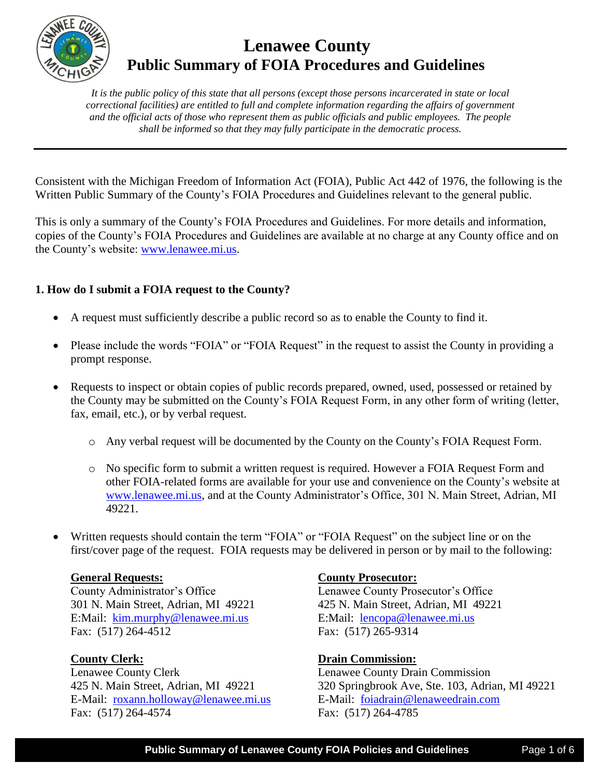

# **Lenawee County Public Summary of FOIA Procedures and Guidelines**

*It is the public policy of this state that all persons (except those persons incarcerated in state or local correctional facilities) are entitled to full and complete information regarding the affairs of government and the official acts of those who represent them as public officials and public employees. The people shall be informed so that they may fully participate in the democratic process.*

Consistent with the Michigan Freedom of Information Act (FOIA), Public Act 442 of 1976, the following is the Written Public Summary of the County's FOIA Procedures and Guidelines relevant to the general public.

This is only a summary of the County's FOIA Procedures and Guidelines. For more details and information, copies of the County's FOIA Procedures and Guidelines are available at no charge at any County office and on the County's website: [www.lenawee.mi.us.](http://www.lenawee.mi.us/)

# **1. How do I submit a FOIA request to the County?**

- A request must sufficiently describe a public record so as to enable the County to find it.
- Please include the words "FOIA" or "FOIA Request" in the request to assist the County in providing a prompt response.
- Requests to inspect or obtain copies of public records prepared, owned, used, possessed or retained by the County may be submitted on the County's FOIA Request Form, in any other form of writing (letter, fax, email, etc.), or by verbal request.
	- o Any verbal request will be documented by the County on the County's FOIA Request Form.
	- o No specific form to submit a written request is required. However a FOIA Request Form and other FOIA-related forms are available for your use and convenience on the County's website at [www.lenawee.mi.us,](http://www.lenawee.mi.us/) and at the County Administrator's Office, 301 N. Main Street, Adrian, MI 49221.
- Written requests should contain the term "FOIA" or "FOIA Request" on the subject line or on the first/cover page of the request. FOIA requests may be delivered in person or by mail to the following:

**General Requests:**<br>
County Administrator's Office<br>
Lenawee County Prosecutor: E:Mail: [kim.murphy@lenawee.mi.us](mailto:kim.murphy@lenawee.mi.us) E:Mail: [lencopa@lenawee.mi.us](mailto:lencopa@lenawee.mi.us) Fax: (517) 264-4512 Fax: (517) 265-9314

Lenawee County Clerk Lenawee County Drain Commission E-Mail: [roxann.holloway@lenawee.mi.us](https://owa.lenawee.mi.us/owa/redir.aspx?C=vd_qJSCjk0S_NMvL3FPoXSOXeJtEdtIIzkalAXTwinjiEA3ne6kjdqMzFn27oDZCELgfk7Cntbc.&URL=mailto%3aroxann.holloway%40lenawee.mi.us) E-Mail: [foiadrain@lenaweedrain.com](mailto:foiadrain@lenaweedrain.com) Fax: (517) 264-4574 Fax: (517) 264-4785

Lenawee County Prosecutor's Office 301 N. Main Street, Adrian, MI 49221 425 N. Main Street, Adrian, MI 49221

# **County Clerk: Drain Commission:**

425 N. Main Street, Adrian, MI 49221 320 Springbrook Ave, Ste. 103, Adrian, MI 49221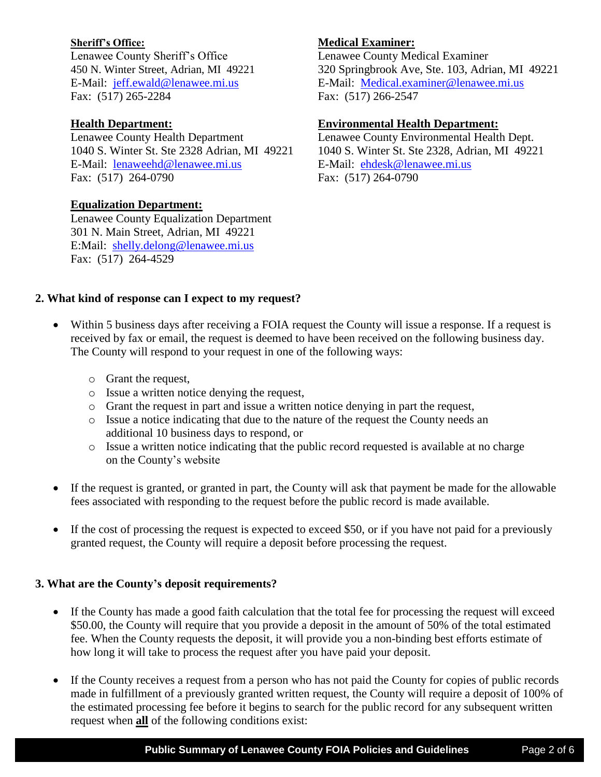Lenawee County Sheriff's Office Lenawee County Medical Examiner Fax: (517) 265-2284 Fax: (517) 266-2547

**Health Department: Environmental Health Department:** E-Mail: [lenaweehd@lenawee.mi.us](mailto:lenaweehd@lenawee.mi.us) E-Mail: [ehdesk@lenawee.mi.us](mailto:ehdesk@lenawee.mi.us) Fax: (517) 264-0790 Fax: (517) 264-0790

### **Equalization Department:**

Lenawee County Equalization Department 301 N. Main Street, Adrian, MI 49221 E:Mail: [shelly.delong@lenawee.mi.us](mailto:shelly.delong@lenawee.mi.us) Fax: (517) 264-4529

# **Sheriff's Office:**<br> **Medical Examiner:**

450 N. Winter Street, Adrian, MI 49221 320 Springbrook Ave, Ste. 103, Adrian, MI 49221 E-Mail: [jeff.ewald@lenawee.mi.us](mailto:jeff.ewald@lenawee.mi.us) E-Mail: [Medical.examiner@lenawee.mi.us](mailto:Medical.examiner@lenawee.mi.us)

Lenawee County Environmental Health Dept. 1040 S. Winter St. Ste 2328 Adrian, MI 49221 1040 S. Winter St. Ste 2328, Adrian, MI 49221

### **2. What kind of response can I expect to my request?**

- Within 5 business days after receiving a FOIA request the County will issue a response. If a request is received by fax or email, the request is deemed to have been received on the following business day. The County will respond to your request in one of the following ways:
	- o Grant the request,
	- o Issue a written notice denying the request,
	- o Grant the request in part and issue a written notice denying in part the request,
	- o Issue a notice indicating that due to the nature of the request the County needs an additional 10 business days to respond, or
	- o Issue a written notice indicating that the public record requested is available at no charge on the County's website
- If the request is granted, or granted in part, the County will ask that payment be made for the allowable fees associated with responding to the request before the public record is made available.
- If the cost of processing the request is expected to exceed \$50, or if you have not paid for a previously granted request, the County will require a deposit before processing the request.

#### **3. What are the County's deposit requirements?**

- If the County has made a good faith calculation that the total fee for processing the request will exceed \$50.00, the County will require that you provide a deposit in the amount of 50% of the total estimated fee. When the County requests the deposit, it will provide you a non-binding best efforts estimate of how long it will take to process the request after you have paid your deposit.
- If the County receives a request from a person who has not paid the County for copies of public records made in fulfillment of a previously granted written request, the County will require a deposit of 100% of the estimated processing fee before it begins to search for the public record for any subsequent written request when **all** of the following conditions exist: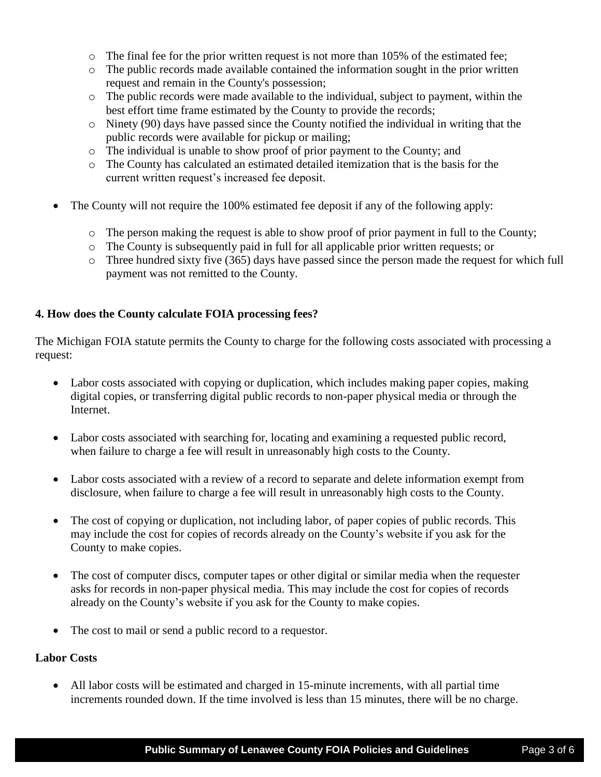- $\circ$  The final fee for the prior written request is not more than 105% of the estimated fee;
- $\circ$  The public records made available contained the information sought in the prior written request and remain in the County's possession;
- o The public records were made available to the individual, subject to payment, within the best effort time frame estimated by the County to provide the records;
- o Ninety (90) days have passed since the County notified the individual in writing that the public records were available for pickup or mailing;
- o The individual is unable to show proof of prior payment to the County; and
- o The County has calculated an estimated detailed itemization that is the basis for the current written request's increased fee deposit.
- The County will not require the 100% estimated fee deposit if any of the following apply:
	- $\circ$  The person making the request is able to show proof of prior payment in full to the County;
	- o The County is subsequently paid in full for all applicable prior written requests; or
	- o Three hundred sixty five (365) days have passed since the person made the request for which full payment was not remitted to the County.

### **4. How does the County calculate FOIA processing fees?**

The Michigan FOIA statute permits the County to charge for the following costs associated with processing a request:

- Labor costs associated with copying or duplication, which includes making paper copies, making digital copies, or transferring digital public records to non-paper physical media or through the Internet.
- Labor costs associated with searching for, locating and examining a requested public record, when failure to charge a fee will result in unreasonably high costs to the County.
- Labor costs associated with a review of a record to separate and delete information exempt from disclosure, when failure to charge a fee will result in unreasonably high costs to the County.
- The cost of copying or duplication, not including labor, of paper copies of public records. This may include the cost for copies of records already on the County's website if you ask for the County to make copies.
- The cost of computer discs, computer tapes or other digital or similar media when the requester asks for records in non-paper physical media. This may include the cost for copies of records already on the County's website if you ask for the County to make copies.
- The cost to mail or send a public record to a requestor.

#### **Labor Costs**

• All labor costs will be estimated and charged in 15-minute increments, with all partial time increments rounded down. If the time involved is less than 15 minutes, there will be no charge.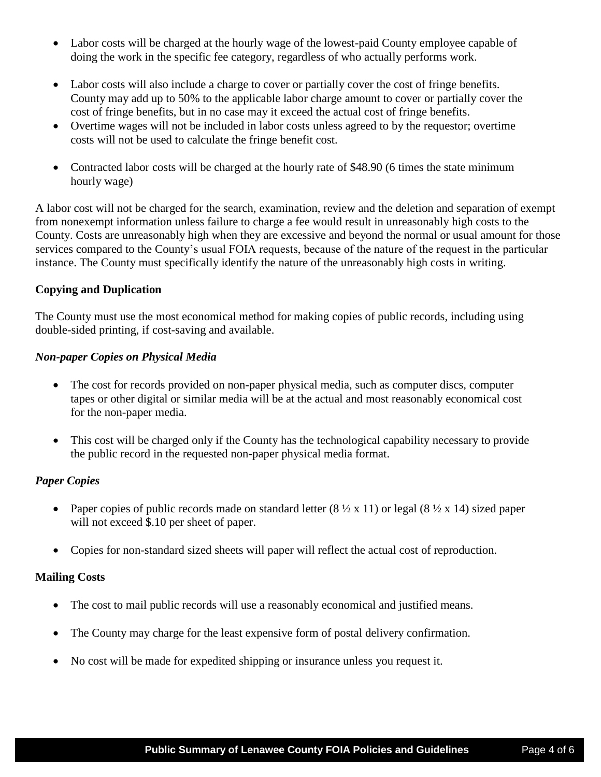- Labor costs will be charged at the hourly wage of the lowest-paid County employee capable of doing the work in the specific fee category, regardless of who actually performs work.
- Labor costs will also include a charge to cover or partially cover the cost of fringe benefits. County may add up to 50% to the applicable labor charge amount to cover or partially cover the cost of fringe benefits, but in no case may it exceed the actual cost of fringe benefits.
- Overtime wages will not be included in labor costs unless agreed to by the requestor; overtime costs will not be used to calculate the fringe benefit cost.
- Contracted labor costs will be charged at the hourly rate of \$48.90 (6 times the state minimum hourly wage)

A labor cost will not be charged for the search, examination, review and the deletion and separation of exempt from nonexempt information unless failure to charge a fee would result in unreasonably high costs to the County. Costs are unreasonably high when they are excessive and beyond the normal or usual amount for those services compared to the County's usual FOIA requests, because of the nature of the request in the particular instance. The County must specifically identify the nature of the unreasonably high costs in writing.

### **Copying and Duplication**

The County must use the most economical method for making copies of public records, including using double-sided printing, if cost-saving and available.

### *Non-paper Copies on Physical Media*

- The cost for records provided on non-paper physical media, such as computer discs, computer tapes or other digital or similar media will be at the actual and most reasonably economical cost for the non-paper media.
- This cost will be charged only if the County has the technological capability necessary to provide the public record in the requested non-paper physical media format.

# *Paper Copies*

- Paper copies of public records made on standard letter  $(8 \frac{1}{2} \times 11)$  or legal  $(8 \frac{1}{2} \times 14)$  sized paper will not exceed \$.10 per sheet of paper.
- Copies for non-standard sized sheets will paper will reflect the actual cost of reproduction.

#### **Mailing Costs**

- The cost to mail public records will use a reasonably economical and justified means.
- The County may charge for the least expensive form of postal delivery confirmation.
- No cost will be made for expedited shipping or insurance unless you request it.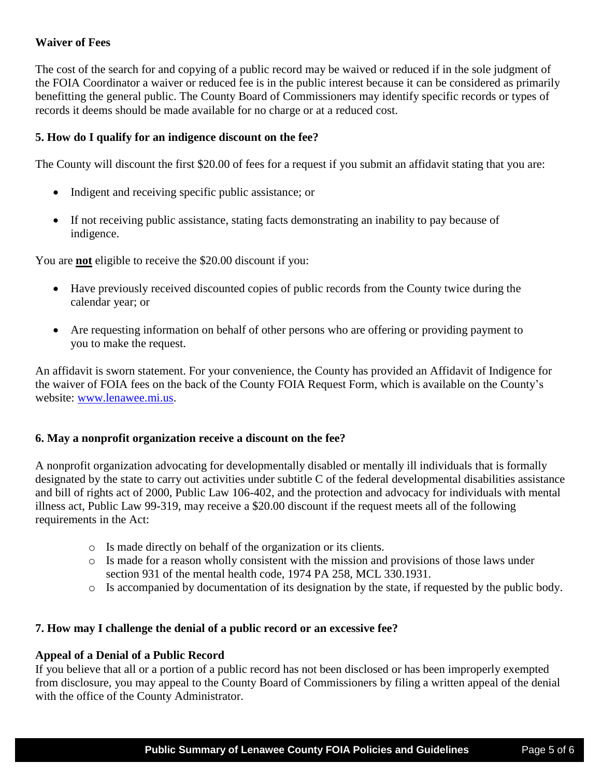# **Waiver of Fees**

The cost of the search for and copying of a public record may be waived or reduced if in the sole judgment of the FOIA Coordinator a waiver or reduced fee is in the public interest because it can be considered as primarily benefitting the general public. The County Board of Commissioners may identify specific records or types of records it deems should be made available for no charge or at a reduced cost.

# **5. How do I qualify for an indigence discount on the fee?**

The County will discount the first \$20.00 of fees for a request if you submit an affidavit stating that you are:

- Indigent and receiving specific public assistance; or
- If not receiving public assistance, stating facts demonstrating an inability to pay because of indigence.

You are **not** eligible to receive the \$20.00 discount if you:

- Have previously received discounted copies of public records from the County twice during the calendar year; or
- Are requesting information on behalf of other persons who are offering or providing payment to you to make the request.

An affidavit is sworn statement. For your convenience, the County has provided an Affidavit of Indigence for the waiver of FOIA fees on the back of the County FOIA Request Form, which is available on the County's website: [www.lenawee.mi.us.](http://www.lenawee.mi.us/)

# **6. May a nonprofit organization receive a discount on the fee?**

A nonprofit organization advocating for developmentally disabled or mentally ill individuals that is formally designated by the state to carry out activities under subtitle C of the federal developmental disabilities assistance and bill of rights act of 2000, Public Law 106-402, and the protection and advocacy for individuals with mental illness act, Public Law 99-319, may receive a \$20.00 discount if the request meets all of the following requirements in the Act:

- o Is made directly on behalf of the organization or its clients.
- o Is made for a reason wholly consistent with the mission and provisions of those laws under section 931 of the mental health code, 1974 PA 258, MCL 330.1931.
- o Is accompanied by documentation of its designation by the state, if requested by the public body.

# **7. How may I challenge the denial of a public record or an excessive fee?**

#### **Appeal of a Denial of a Public Record**

If you believe that all or a portion of a public record has not been disclosed or has been improperly exempted from disclosure, you may appeal to the County Board of Commissioners by filing a written appeal of the denial with the office of the County Administrator.